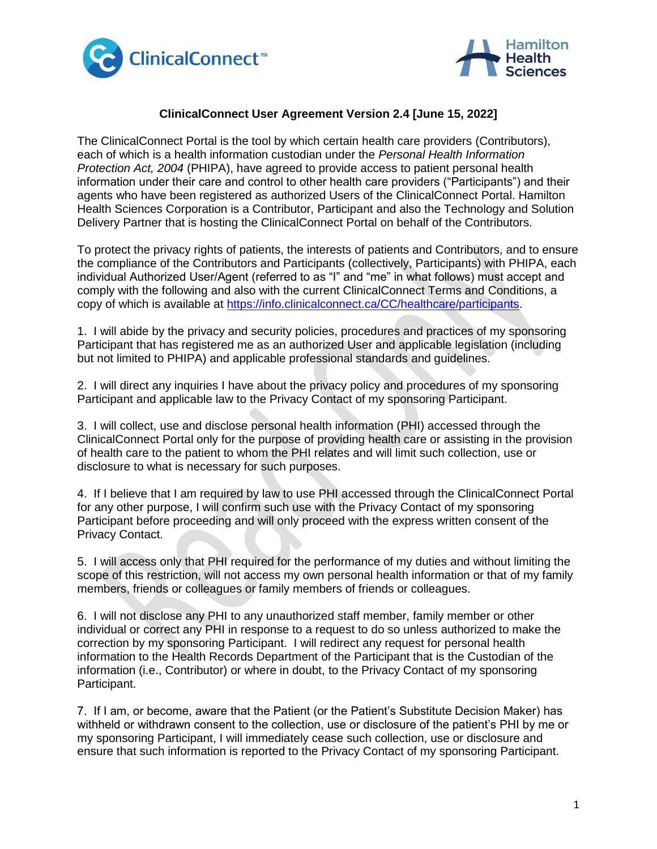



## **ClinicalConnect User Agreement Version 2.4 [June 15, 2022]**

The ClinicalConnect Portal is the tool by which certain health care providers (Contributors), each of which is a health information custodian under the *Personal Health Information Protection Act, 2004* (PHIPA), have agreed to provide access to patient personal health information under their care and control to other health care providers ("Participants") and their agents who have been registered as authorized Users of the ClinicalConnect Portal. Hamilton Health Sciences Corporation is a Contributor, Participant and also the Technology and Solution Delivery Partner that is hosting the ClinicalConnect Portal on behalf of the Contributors.

To protect the privacy rights of patients, the interests of patients and Contributors, and to ensure the compliance of the Contributors and Participants (collectively, Participants) with PHIPA, each individual Authorized User/Agent (referred to as "I" and "me" in what follows) must accept and comply with the following and also with the current ClinicalConnect Terms and Conditions, a copy of which is available at [https://info.clinicalconnect.ca/CC/healthcare/participants.](https://info.clinicalconnect.ca/CC/healthcare/participants)

1. I will abide by the privacy and security policies, procedures and practices of my sponsoring Participant that has registered me as an authorized User and applicable legislation (including but not limited to PHIPA) and applicable professional standards and guidelines.

2. I will direct any inquiries I have about the privacy policy and procedures of my sponsoring Participant and applicable law to the Privacy Contact of my sponsoring Participant.

3. I will collect, use and disclose personal health information (PHI) accessed through the ClinicalConnect Portal only for the purpose of providing health care or assisting in the provision of health care to the patient to whom the PHI relates and will limit such collection, use or disclosure to what is necessary for such purposes.

4. If I believe that I am required by law to use PHI accessed through the ClinicalConnect Portal for any other purpose, I will confirm such use with the Privacy Contact of my sponsoring Participant before proceeding and will only proceed with the express written consent of the Privacy Contact.

5. I will access only that PHI required for the performance of my duties and without limiting the scope of this restriction, will not access my own personal health information or that of my family members, friends or colleagues or family members of friends or colleagues.

6. I will not disclose any PHI to any unauthorized staff member, family member or other individual or correct any PHI in response to a request to do so unless authorized to make the correction by my sponsoring Participant. I will redirect any request for personal health information to the Health Records Department of the Participant that is the Custodian of the information (i.e., Contributor) or where in doubt, to the Privacy Contact of my sponsoring Participant.

7. If I am, or become, aware that the Patient (or the Patient's Substitute Decision Maker) has withheld or withdrawn consent to the collection, use or disclosure of the patient's PHI by me or my sponsoring Participant, I will immediately cease such collection, use or disclosure and ensure that such information is reported to the Privacy Contact of my sponsoring Participant.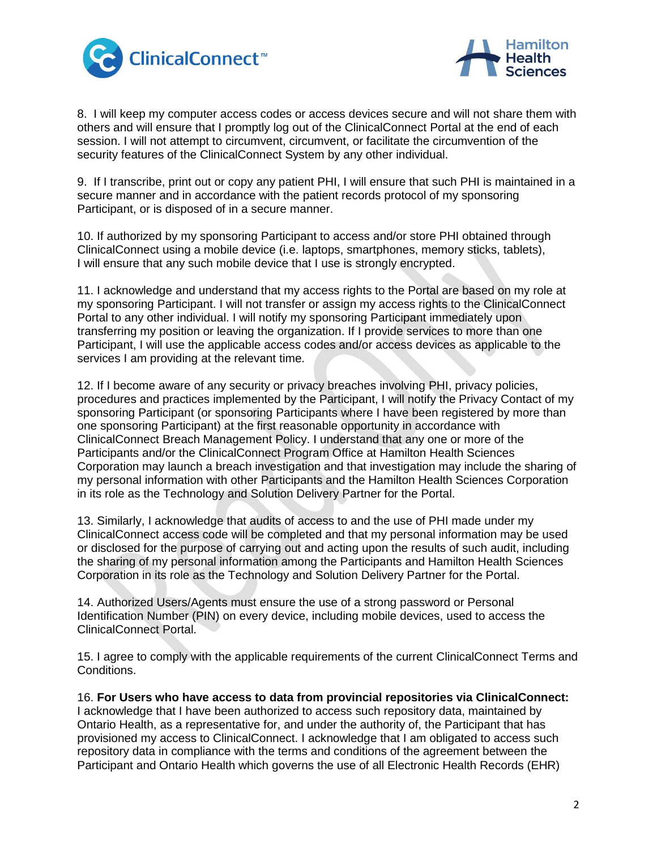



8. I will keep my computer access codes or access devices secure and will not share them with others and will ensure that I promptly log out of the ClinicalConnect Portal at the end of each session. I will not attempt to circumvent, circumvent, or facilitate the circumvention of the security features of the ClinicalConnect System by any other individual.

9. If I transcribe, print out or copy any patient PHI, I will ensure that such PHI is maintained in a secure manner and in accordance with the patient records protocol of my sponsoring Participant, or is disposed of in a secure manner.

10. If authorized by my sponsoring Participant to access and/or store PHI obtained through ClinicalConnect using a mobile device (i.e. laptops, smartphones, memory sticks, tablets), I will ensure that any such mobile device that I use is strongly encrypted.

11. I acknowledge and understand that my access rights to the Portal are based on my role at my sponsoring Participant. I will not transfer or assign my access rights to the ClinicalConnect Portal to any other individual. I will notify my sponsoring Participant immediately upon transferring my position or leaving the organization. If I provide services to more than one Participant, I will use the applicable access codes and/or access devices as applicable to the services I am providing at the relevant time.

12. If I become aware of any security or privacy breaches involving PHI, privacy policies, procedures and practices implemented by the Participant, I will notify the Privacy Contact of my sponsoring Participant (or sponsoring Participants where I have been registered by more than one sponsoring Participant) at the first reasonable opportunity in accordance with ClinicalConnect Breach Management Policy. I understand that any one or more of the Participants and/or the ClinicalConnect Program Office at Hamilton Health Sciences Corporation may launch a breach investigation and that investigation may include the sharing of my personal information with other Participants and the Hamilton Health Sciences Corporation in its role as the Technology and Solution Delivery Partner for the Portal.

13. Similarly, I acknowledge that audits of access to and the use of PHI made under my ClinicalConnect access code will be completed and that my personal information may be used or disclosed for the purpose of carrying out and acting upon the results of such audit, including the sharing of my personal information among the Participants and Hamilton Health Sciences Corporation in its role as the Technology and Solution Delivery Partner for the Portal.

14. Authorized Users/Agents must ensure the use of a strong password or Personal Identification Number (PIN) on every device, including mobile devices, used to access the ClinicalConnect Portal.

15. I agree to comply with the applicable requirements of the current ClinicalConnect Terms and Conditions.

16. **For Users who have access to data from provincial repositories via ClinicalConnect:** I acknowledge that I have been authorized to access such repository data, maintained by Ontario Health, as a representative for, and under the authority of, the Participant that has provisioned my access to ClinicalConnect. I acknowledge that I am obligated to access such repository data in compliance with the terms and conditions of the agreement between the Participant and Ontario Health which governs the use of all Electronic Health Records (EHR)